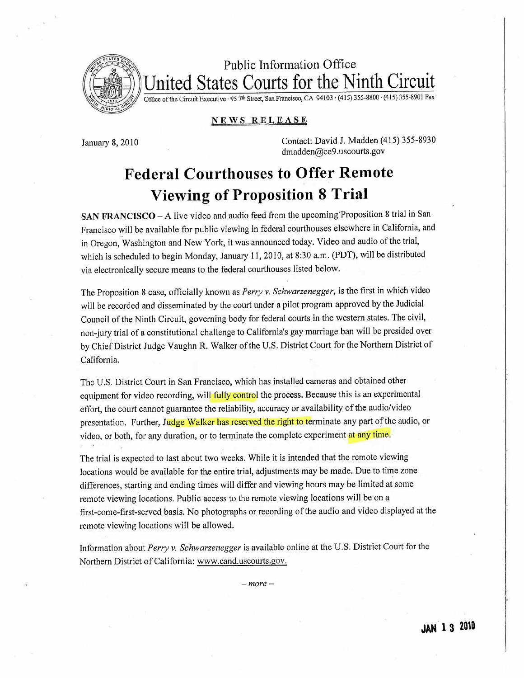

Public Information Office United States Courts for the Ninth Circuit

Office of the Circuit Executive · 95 7th Street, San Francisco, CA 94103 · (415) 355-8800 · (415) 355-8901 Fax

## NEWS RELEASE

January 8, 2010 Contact: David J. Madden (415) 355-8930 dmadden@ce9.uscourts.gov

## Federal Courthouses to Offer Remote Viewing of Proposition 8 Trial

SAN FRANCISCO - A live video and audio feed from the upcoming Proposition 8 trial in San Francisco will be available for public viewing in federal courthouses elsewhere in California, and in Oregon, Washington and New York, it was announced today. Video and audio of the trial, which is scheduled to begin Monday, January 11, 2010, at 8:30 a.m. (PDT), will be distributed via electronically secure means to the federal courthouses listed below.

The Proposition 8 case, officially known as Perry v. Schwarzenegger, is the first in which video will be recorded and disseminated by the court under a pilot program approved by the Judicial Council of the Ninth Circuit, governing body for federal courts in the western states. The civil, non-jury trial of a constitutional challenge to California's gay marriage ban wil be presided over by Chief District Judge Vaughn R. Walker of the U.S. District Court for the Northern District of California.

The U.S. District Court in San Francisco, which has installed cameras and obtained other equipment for video recording, will fully control the process. Because this is an experimental effort, the court cannot guarantee the reliability, accuracy or availability of the audio/video presentation. Further, Judge Walker has reserved the right to terminate any part of the audio, or video, or both, for any duration, or to terminate the complete experiment <mark>at any time</mark>.

The trial is expected to last about two weeks. While it is intended that the remote viewing locations would be available for the entire trial, adjustments may be made. Due to time zone differences, starting and ending times wil differ and viewing hours may be limited at some remote viewing locations. Public access to the remote viewing locations will be on a first-come-first-served basis. No photographs or recording of the audio and video displayed at the remote viewing locations will be allowed.

Information about Perry v. Schwarzenegger is available online at the U.S. District Court for the Northern District of California: www.cand.uscourts.gov.

 $-more-$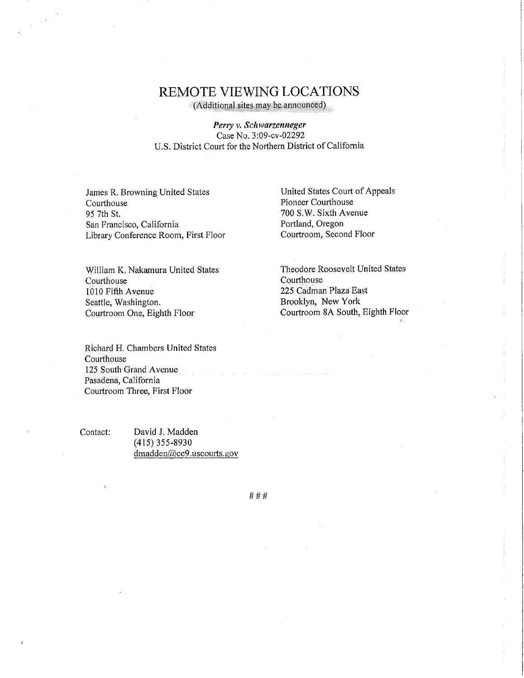## REMOTE VIEWING LOCATIONS

(Additional sites may be announced)

Perry v. Schwarzenneger Case No. 3:09-cv-02292 U.S. District Court for the Northern District of California

James R. Browning United States Courthouse 95 7th St. San Francisco, California Library Conference Room, First Floor

Wiliam K. Nakamura United States Courthouse 1010 Fifth Avenue Seattle, Washington. Courtroom One, Eighth Floor

United States Court of Appeals Pioneer Courthouse 700S.W. Sixth Avenue Portland, Oregon Courtroom, Second Floor

Theodore Roosevelt United States Courthouse 225 Cadman Plaza East Brooklyn, New York Courtroom SA South, Eighth Floor

Richard H. Chambers United States Courthouse 125 South Grand Avenue Pasadena, California Courtroom Three, First Floor

Contact: David J. Madden (415) 355~8930 dmadden@ce9.uscourts.gov

###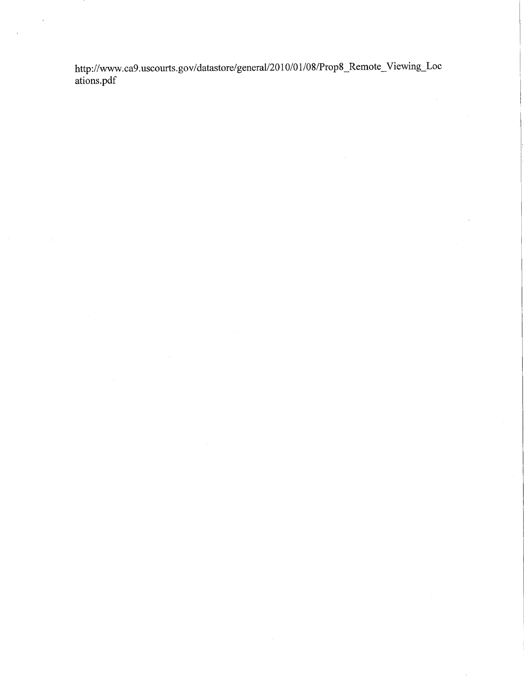http://www.ca9.uscourts.gov/datastore/general/2010/01/08/Prop8\_Remote\_Viewing\_Locations.pdf